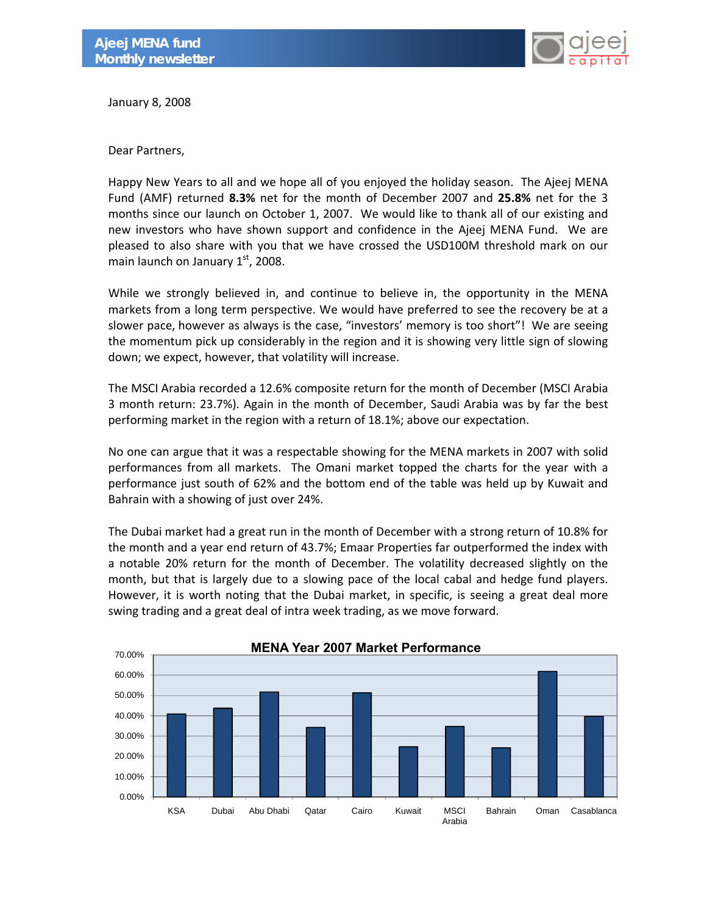

January 8, 2008

Dear Partners,

Happy New Years to all and we hope all of you enjoyed the holiday season. The Ajeej MENA Fund (AMF) returned **8.3%** net for the month of December 2007 and **25.8%** net for the 3 months since our launch on October 1, 2007. We would like to thank all of our existing and new investors who have shown support and confidence in the Ajeej MENA Fund. We are pleased to also share with you that we have crossed the USD100M threshold mark on our main launch on January  $1<sup>st</sup>$ , 2008.

While we strongly believed in, and continue to believe in, the opportunity in the MENA markets from a long term perspective. We would have preferred to see the recovery be at a slower pace, however as always is the case, "investors' memory is too short"! We are seeing the momentum pick up considerably in the region and it is showing very little sign of slowing down; we expect, however, that volatility will increase.

The MSCI Arabia recorded a 12.6% composite return for the month of December (MSCI Arabia 3 month return: 23.7%). Again in the month of December, Saudi Arabia was by far the best performing market in the region with a return of 18.1%; above our expectation.

No one can argue that it was a respectable showing for the MENA markets in 2007 with solid performances from all markets. The Omani market topped the charts for the year with a performance just south of 62% and the bottom end of the table was held up by Kuwait and Bahrain with a showing of just over 24%.

The Dubai market had a great run in the month of December with a strong return of 10.8% for the month and a year end return of 43.7%; Emaar Properties far outperformed the index with a notable 20% return for the month of December. The volatility decreased slightly on the month, but that is largely due to a slowing pace of the local cabal and hedge fund players. However, it is worth noting that the Dubai market, in specific, is seeing a great deal more swing trading and a great deal of intra week trading, as we move forward.

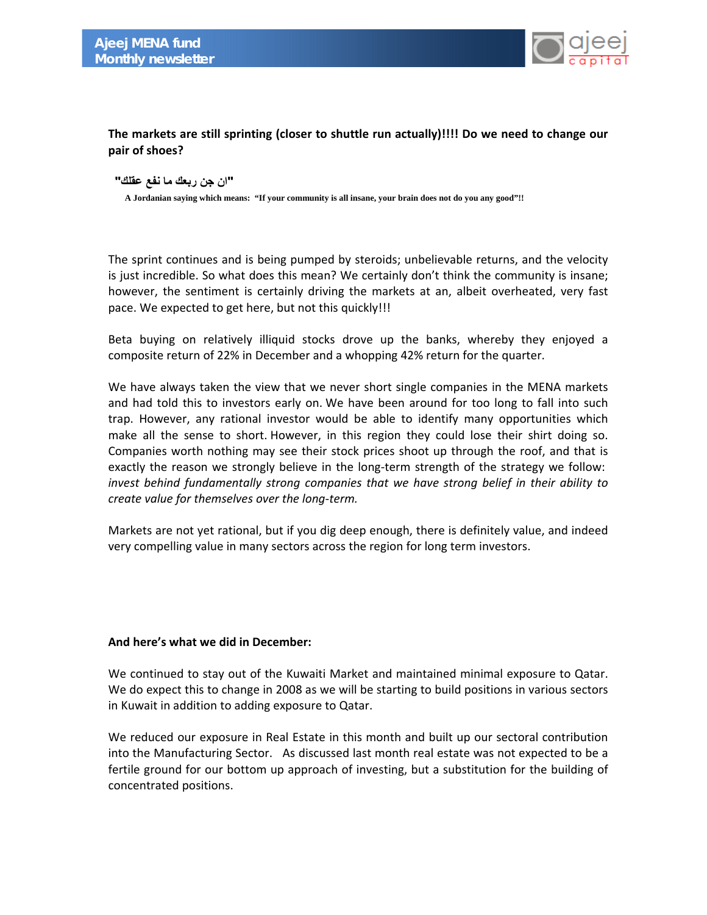

# **The markets are still sprinting (closer to shuttle run actually)!!!! Do we need to change our pair of shoes?**

#### **"ان جن ربعك ما نفع عقلك "**

 **A Jordanian saying which means: "If your community is all insane, your brain does not do you any good"!!** 

The sprint continues and is being pumped by steroids; unbelievable returns, and the velocity is just incredible. So what does this mean? We certainly don't think the community is insane; however, the sentiment is certainly driving the markets at an, albeit overheated, very fast pace. We expected to get here, but not this quickly!!!

Beta buying on relatively illiquid stocks drove up the banks, whereby they enjoyed a composite return of 22% in December and a whopping 42% return for the quarter.

We have always taken the view that we never short single companies in the MENA markets and had told this to investors early on. We have been around for too long to fall into such trap. However, any rational investor would be able to identify many opportunities which make all the sense to short. However, in this region they could lose their shirt doing so. Companies worth nothing may see their stock prices shoot up through the roof, and that is exactly the reason we strongly believe in the long-term strength of the strategy we follow: *invest behind fundamentally strong companies that we have strong belief in their ability to create value for themselves over the long‐term.*

Markets are not yet rational, but if you dig deep enough, there is definitely value, and indeed very compelling value in many sectors across the region for long term investors.

### **And here's what we did in December:**

We continued to stay out of the Kuwaiti Market and maintained minimal exposure to Qatar. We do expect this to change in 2008 as we will be starting to build positions in various sectors in Kuwait in addition to adding exposure to Qatar.

We reduced our exposure in Real Estate in this month and built up our sectoral contribution into the Manufacturing Sector. As discussed last month real estate was not expected to be a fertile ground for our bottom up approach of investing, but a substitution for the building of concentrated positions.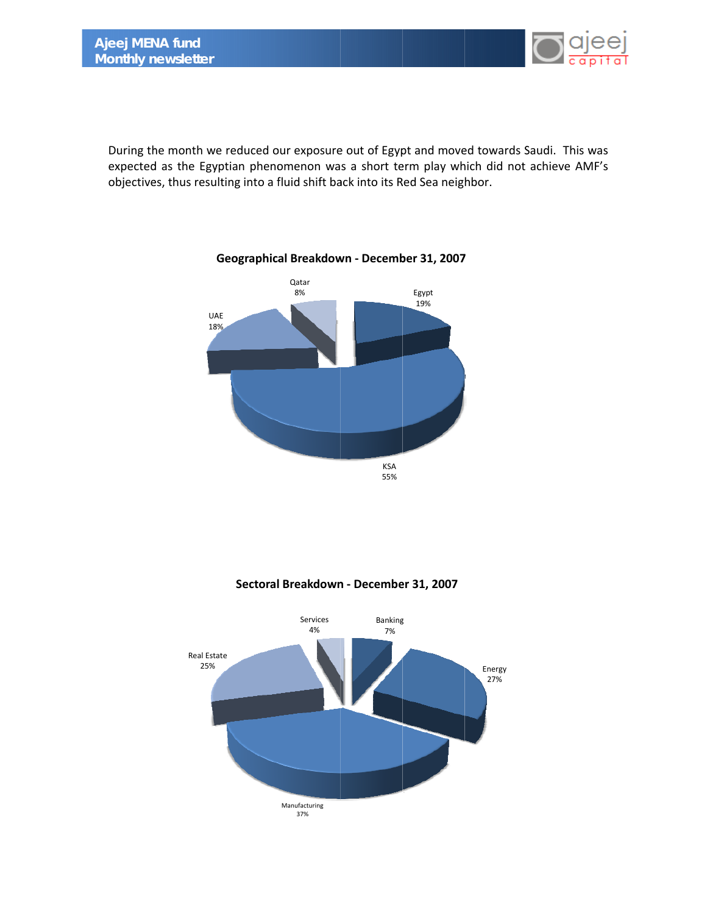

During the month we reduced our exposure out of Egypt and moved towards Saudi. This was expected as the Egyptian phenomenon was a short term play which did not achieve AMF's objectives, thus resulting into a fluid shift back into its Red Sea neighbor.



# **Geographical Breakdown - December 31, 2007**

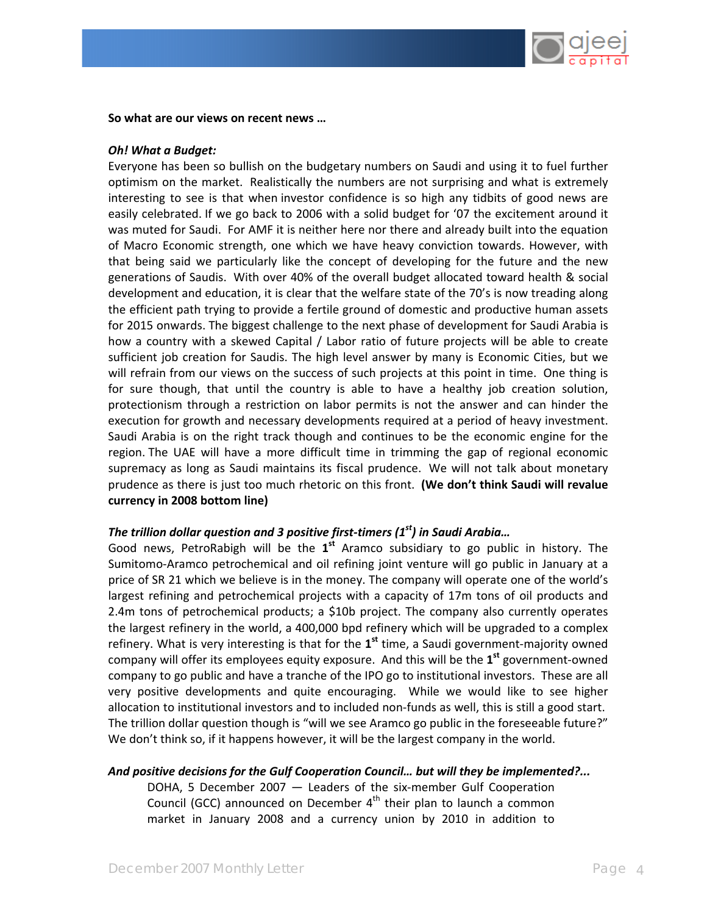

#### **So what are our views on recent news …**

#### *Oh! What a Budget:*

Everyone has been so bullish on the budgetary numbers on Saudi and using it to fuel further optimism on the market. Realistically the numbers are not surprising and what is extremely interesting to see is that when investor confidence is so high any tidbits of good news are easily celebrated. If we go back to 2006 with a solid budget for '07 the excitement around it was muted for Saudi. For AMF it is neither here nor there and already built into the equation of Macro Economic strength, one which we have heavy conviction towards. However, with that being said we particularly like the concept of developing for the future and the new generations of Saudis. With over 40% of the overall budget allocated toward health & social development and education, it is clear that the welfare state of the 70's is now treading along the efficient path trying to provide a fertile ground of domestic and productive human assets for 2015 onwards. The biggest challenge to the next phase of development for Saudi Arabia is how a country with a skewed Capital / Labor ratio of future projects will be able to create sufficient job creation for Saudis. The high level answer by many is Economic Cities, but we will refrain from our views on the success of such projects at this point in time. One thing is for sure though, that until the country is able to have a healthy job creation solution, protectionism through a restriction on labor permits is not the answer and can hinder the execution for growth and necessary developments required at a period of heavy investment. Saudi Arabia is on the right track though and continues to be the economic engine for the region. The UAE will have a more difficult time in trimming the gap of regional economic supremacy as long as Saudi maintains its fiscal prudence. We will not talk about monetary prudence as there is just too much rhetoric on this front. **(We don't think Saudi will revalue currency in 2008 bottom line)** 

### *The trillion dollar question and 3 positive first‐timers (1st) in Saudi Arabia…*

Good news, PetroRabigh will be the **1st** Aramco subsidiary to go public in history. The Sumitomo‐Aramco petrochemical and oil refining joint venture will go public in January at a price of SR 21 which we believe is in the money. The company will operate one of the world's largest refining and petrochemical projects with a capacity of 17m tons of oil products and 2.4m tons of petrochemical products; a \$10b project. The company also currently operates the largest refinery in the world, a 400,000 bpd refinery which will be upgraded to a complex refinery. What is very interesting is that for the **1st** time, a Saudi government‐majority owned company will offer its employees equity exposure. And this will be the **1st** government‐owned company to go public and have a tranche of the IPO go to institutional investors. These are all very positive developments and quite encouraging. While we would like to see higher allocation to institutional investors and to included non‐funds as well, this is still a good start. The trillion dollar question though is "will we see Aramco go public in the foreseeable future?" We don't think so, if it happens however, it will be the largest company in the world.

### *And positive decisions for the Gulf Cooperation Council… but will they be implemented?...*

DOHA, 5 December 2007 — Leaders of the six‐member Gulf Cooperation Council (GCC) announced on December  $4<sup>th</sup>$  their plan to launch a common market in January 2008 and a currency union by 2010 in addition to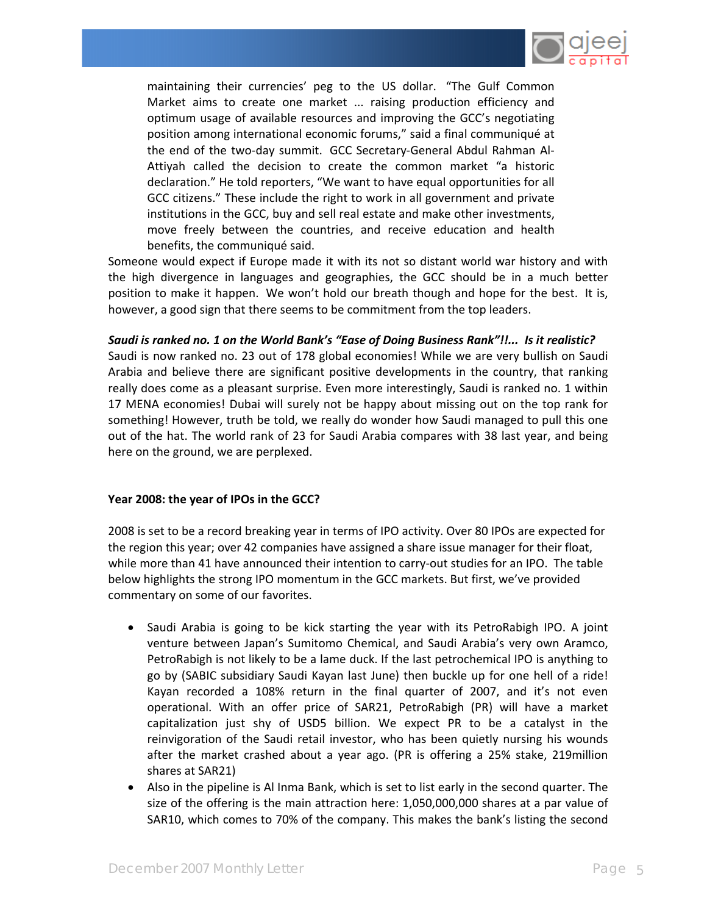

maintaining their currencies' peg to the US dollar. "The Gulf Common Market aims to create one market ... raising production efficiency and optimum usage of available resources and improving the GCC's negotiating position among international economic forums," said a final communiqué at the end of the two‐day summit. GCC Secretary‐General Abdul Rahman Al‐ Attiyah called the decision to create the common market "a historic declaration." He told reporters, "We want to have equal opportunities for all GCC citizens." These include the right to work in all government and private institutions in the GCC, buy and sell real estate and make other investments, move freely between the countries, and receive education and health benefits, the communiqué said.

Someone would expect if Europe made it with its not so distant world war history and with the high divergence in languages and geographies, the GCC should be in a much better position to make it happen. We won't hold our breath though and hope for the best. It is, however, a good sign that there seems to be commitment from the top leaders.

Saudi is ranked no. 1 on the World Bank's "Ease of Doing Business Rank"!!... Is it realistic? Saudi is now ranked no. 23 out of 178 global economies! While we are very bullish on Saudi Arabia and believe there are significant positive developments in the country, that ranking really does come as a pleasant surprise. Even more interestingly, Saudi is ranked no. 1 within 17 MENA economies! Dubai will surely not be happy about missing out on the top rank for something! However, truth be told, we really do wonder how Saudi managed to pull this one out of the hat. The world rank of 23 for Saudi Arabia compares with 38 last year, and being here on the ground, we are perplexed.

### **Year 2008: the year of IPOs in the GCC?**

2008 is set to be a record breaking year in terms of IPO activity. Over 80 IPOs are expected for the region this year; over 42 companies have assigned a share issue manager for their float, while more than 41 have announced their intention to carry-out studies for an IPO. The table below highlights the strong IPO momentum in the GCC markets. But first, we've provided commentary on some of our favorites.

- Saudi Arabia is going to be kick starting the year with its PetroRabigh IPO. A joint venture between Japan's Sumitomo Chemical, and Saudi Arabia's very own Aramco, PetroRabigh is not likely to be a lame duck. If the last petrochemical IPO is anything to go by (SABIC subsidiary Saudi Kayan last June) then buckle up for one hell of a ride! Kayan recorded a 108% return in the final quarter of 2007, and it's not even operational. With an offer price of SAR21, PetroRabigh (PR) will have a market capitalization just shy of USD5 billion. We expect PR to be a catalyst in the reinvigoration of the Saudi retail investor, who has been quietly nursing his wounds after the market crashed about a year ago. (PR is offering a 25% stake, 219million shares at SAR21)
- Also in the pipeline is Al Inma Bank, which is set to list early in the second quarter. The size of the offering is the main attraction here: 1,050,000,000 shares at a par value of SAR10, which comes to 70% of the company. This makes the bank's listing the second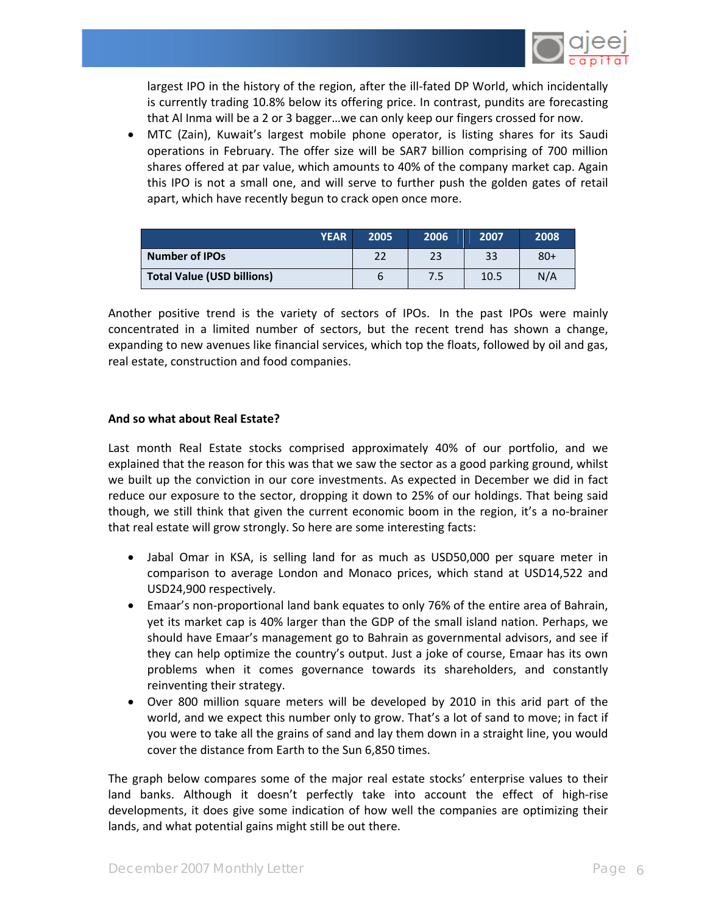

largest IPO in the history of the region, after the ill-fated DP World, which incidentally is currently trading 10.8% below its offering price. In contrast, pundits are forecasting that Al Inma will be a 2 or 3 bagger…we can only keep our fingers crossed for now.

• MTC (Zain), Kuwait's largest mobile phone operator, is listing shares for its Saudi operations in February. The offer size will be SAR7 billion comprising of 700 million shares offered at par value, which amounts to 40% of the company market cap. Again this IPO is not a small one, and will serve to further push the golden gates of retail apart, which have recently begun to crack open once more.

| <b>YEAR</b>                | 2005 | 2006 | 2007 | 2008  |
|----------------------------|------|------|------|-------|
| <b>Number of IPOs</b>      | 22   | 23   | 33   | $80+$ |
| Total Value (USD billions) |      | 7.5  | 10.5 | N/A   |

Another positive trend is the variety of sectors of IPOs. In the past IPOs were mainly concentrated in a limited number of sectors, but the recent trend has shown a change, expanding to new avenues like financial services, which top the floats, followed by oil and gas, real estate, construction and food companies.

#### **And so what about Real Estate?**

Last month Real Estate stocks comprised approximately 40% of our portfolio, and we explained that the reason for this was that we saw the sector as a good parking ground, whilst we built up the conviction in our core investments. As expected in December we did in fact reduce our exposure to the sector, dropping it down to 25% of our holdings. That being said though, we still think that given the current economic boom in the region, it's a no‐brainer that real estate will grow strongly. So here are some interesting facts:

- Jabal Omar in KSA, is selling land for as much as USD50,000 per square meter in comparison to average London and Monaco prices, which stand at USD14,522 and USD24,900 respectively.
- Emaar's non‐proportional land bank equates to only 76% of the entire area of Bahrain, yet its market cap is 40% larger than the GDP of the small island nation. Perhaps, we should have Emaar's management go to Bahrain as governmental advisors, and see if they can help optimize the country's output. Just a joke of course, Emaar has its own problems when it comes governance towards its shareholders, and constantly reinventing their strategy.
- Over 800 million square meters will be developed by 2010 in this arid part of the world, and we expect this number only to grow. That's a lot of sand to move; in fact if you were to take all the grains of sand and lay them down in a straight line, you would cover the distance from Earth to the Sun 6,850 times.

The graph below compares some of the major real estate stocks' enterprise values to their land banks. Although it doesn't perfectly take into account the effect of high-rise developments, it does give some indication of how well the companies are optimizing their lands, and what potential gains might still be out there.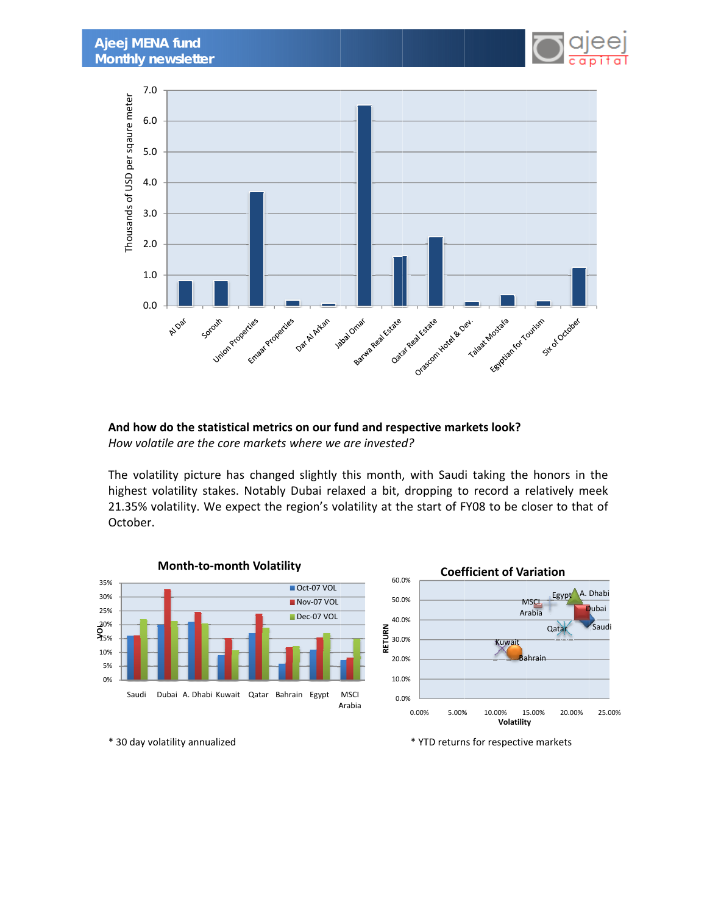



**And how w do the stat tistical metr rics on our fu und and res pective mar rkets look?** *How volatile are the core markets where we are invested?* 

The volatility picture has changed slightly this month, with Saudi taking the honors in the highest volatility stakes. Notably Dubai relaxed a bit, dropping to record a relatively meek 21.35% volatility. We expect the region's volatility at the start of FY08 to be closer to that of October.



\* 30 day volatility annualized

\* YTD returns for respective markets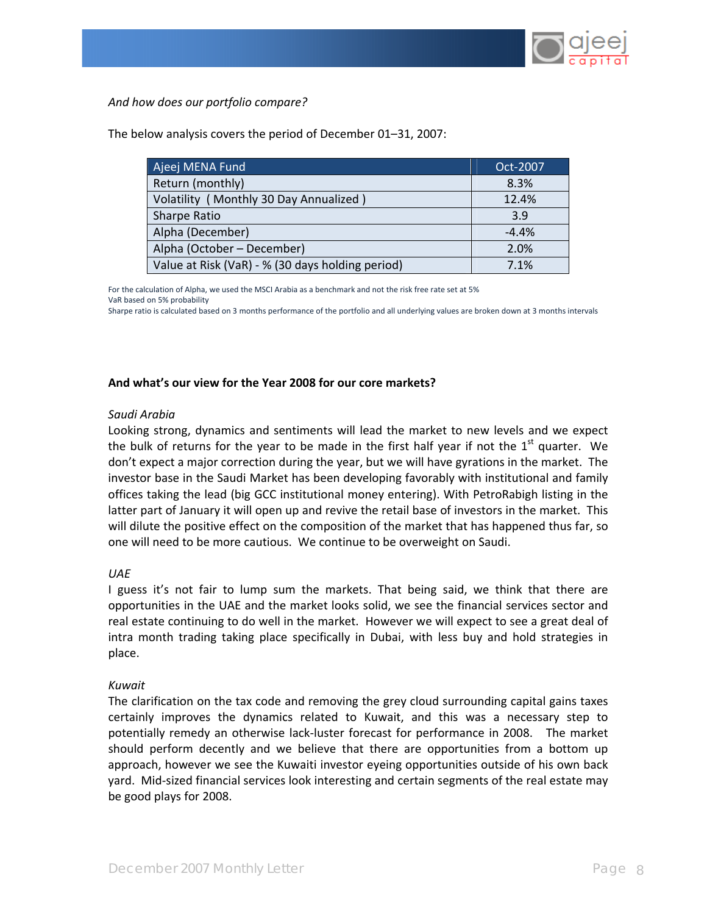

*And how does our portfolio compare?*

| Ajeej MENA Fund                                  | Oct-2007 |
|--------------------------------------------------|----------|
| Return (monthly)                                 | 8.3%     |
| Volatility (Monthly 30 Day Annualized)           | 12.4%    |
| Sharpe Ratio                                     | 3.9      |
| Alpha (December)                                 | $-4.4%$  |
| Alpha (October – December)                       | 2.0%     |
| Value at Risk (VaR) - % (30 days holding period) | 7.1%     |

The below analysis covers the period of December 01–31, 2007:

For the calculation of Alpha, we used the MSCI Arabia as a benchmark and not the risk free rate set at 5% VaR based on 5% probability

Sharpe ratio is calculated based on 3 months performance of the portfolio and all underlying values are broken down at 3 months intervals

#### **And what's our view for the Year 2008 for our core markets?**

#### *Saudi Arabia*

Looking strong, dynamics and sentiments will lead the market to new levels and we expect the bulk of returns for the year to be made in the first half year if not the  $1<sup>st</sup>$  quarter. We don't expect a major correction during the year, but we will have gyrations in the market. The investor base in the Saudi Market has been developing favorably with institutional and family offices taking the lead (big GCC institutional money entering). With PetroRabigh listing in the latter part of January it will open up and revive the retail base of investors in the market. This will dilute the positive effect on the composition of the market that has happened thus far, so one will need to be more cautious. We continue to be overweight on Saudi.

### *UAE*

I guess it's not fair to lump sum the markets. That being said, we think that there are opportunities in the UAE and the market looks solid, we see the financial services sector and real estate continuing to do well in the market. However we will expect to see a great deal of intra month trading taking place specifically in Dubai, with less buy and hold strategies in place.

### *Kuwait*

The clarification on the tax code and removing the grey cloud surrounding capital gains taxes certainly improves the dynamics related to Kuwait, and this was a necessary step to potentially remedy an otherwise lack‐luster forecast for performance in 2008. The market should perform decently and we believe that there are opportunities from a bottom up approach, however we see the Kuwaiti investor eyeing opportunities outside of his own back yard. Mid‐sized financial services look interesting and certain segments of the real estate may be good plays for 2008.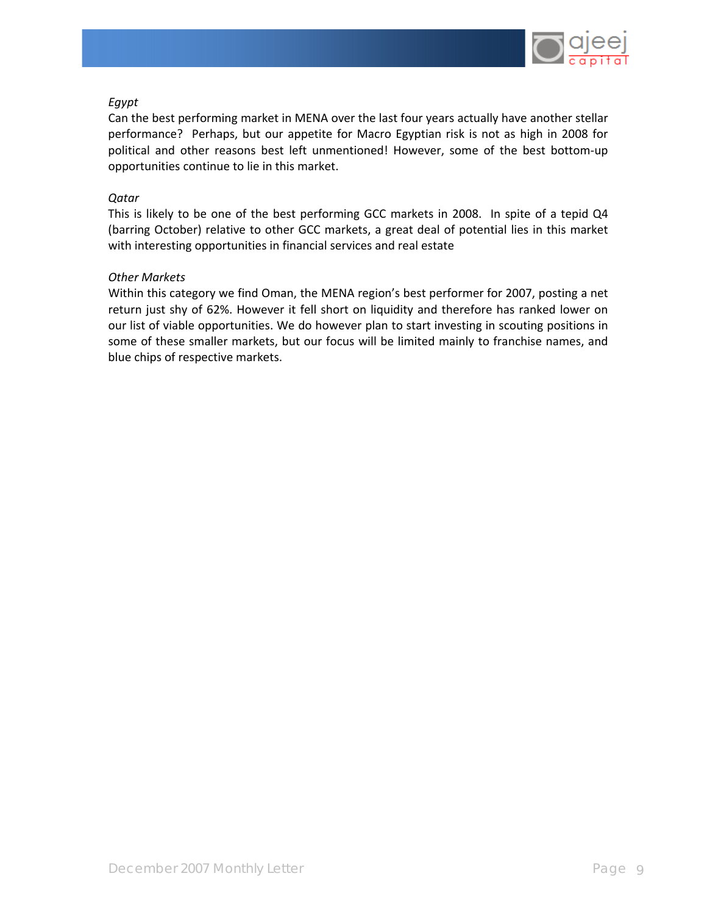

# *Egypt*

Can the best performing market in MENA over the last four years actually have another stellar performance? Perhaps, but our appetite for Macro Egyptian risk is not as high in 2008 for political and other reasons best left unmentioned! However, some of the best bottom‐up opportunities continue to lie in this market.

# *Qatar*

This is likely to be one of the best performing GCC markets in 2008. In spite of a tepid Q4 (barring October) relative to other GCC markets, a great deal of potential lies in this market with interesting opportunities in financial services and real estate

# *Other Markets*

Within this category we find Oman, the MENA region's best performer for 2007, posting a net return just shy of 62%. However it fell short on liquidity and therefore has ranked lower on our list of viable opportunities. We do however plan to start investing in scouting positions in some of these smaller markets, but our focus will be limited mainly to franchise names, and blue chips of respective markets.